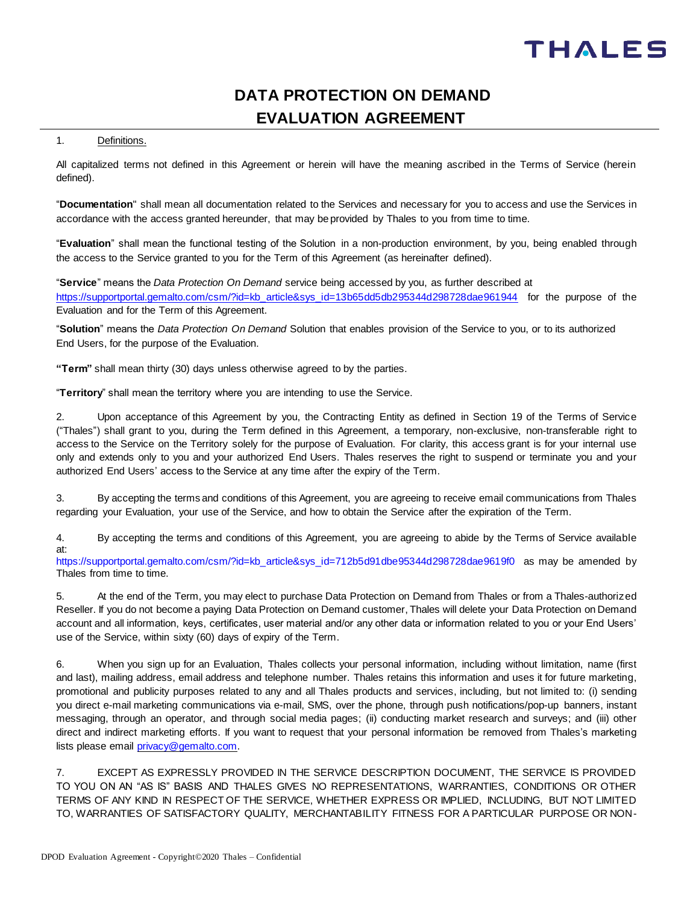## THALES

## **DATA PROTECTION ON DEMAND EVALUATION AGREEMENT**

## 1. Definitions.

All capitalized terms not defined in this Agreement or herein will have the meaning ascribed in the Terms of Service (herein defined).

"**Documentation**" shall mean all documentation related to the Services and necessary for you to access and use the Services in accordance with the access granted hereunder, that may be provided by Thales to you from time to time.

"**Evaluation**" shall mean the functional testing of the Solution in a non-production environment, by you, being enabled through the access to the Service granted to you for the Term of this Agreement (as hereinafter defined).

"**Service**" means the *Data Protection On Demand* service being accessed by you, as further described at [https://supportportal.gemalto.com/csm/?id=kb\\_article&sys\\_id=13b65dd5db295344d298728dae961944](https://supportportal.gemalto.com/csm/?id=kb_article&sys_id=13b65dd5db295344d298728dae961944) for the purpose of the Evaluation and for the Term of this Agreement.

"**Solution**" means the *Data Protection On Demand* Solution that enables provision of the Service to you, or to its authorized End Users, for the purpose of the Evaluation.

**"Term"** shall mean thirty (30) days unless otherwise agreed to by the parties.

"**Territory**" shall mean the territory where you are intending to use the Service.

2. Upon acceptance of this Agreement by you, the Contracting Entity as defined in Section 19 of the Terms of Service ("Thales") shall grant to you, during the Term defined in this Agreement, a temporary, non-exclusive, non-transferable right to access to the Service on the Territory solely for the purpose of Evaluation. For clarity, this access grant is for your internal use only and extends only to you and your authorized End Users. Thales reserves the right to suspend or terminate you and your authorized End Users' access to the Service at any time after the expiry of the Term.

3. By accepting the terms and conditions of this Agreement, you are agreeing to receive email communications from Thales regarding your Evaluation, your use of the Service, and how to obtain the Service after the expiration of the Term.

4. By accepting the terms and conditions of this Agreement, you are agreeing to abide by the Terms of Service available at:

[https://supportportal.gemalto.com/csm/?id=kb\\_article&sys\\_id=712b5d91dbe95344d298728dae9619f0](https://supportportal.gemalto.com/csm/?id=kb_article&sys_id=712b5d91dbe95344d298728dae9619f0) as may be amended by Thales from time to time.

5. At the end of the Term, you may elect to purchase Data Protection on Demand from Thales or from a Thales-authorized Reseller. If you do not become a paying Data Protection on Demand customer, Thales will delete your Data Protection on Demand account and all information, keys, certificates, user material and/or any other data or information related to you or your End Users' use of the Service, within sixty (60) days of expiry of the Term.

6. When you sign up for an Evaluation, Thales collects your personal information, including without limitation, name (first and last), mailing address, email address and telephone number. Thales retains this information and uses it for future marketing, promotional and publicity purposes related to any and all Thales products and services, including, but not limited to: (i) sending you direct e-mail marketing communications via e-mail, SMS, over the phone, through push notifications/pop-up banners, instant messaging, through an operator, and through social media pages; (ii) conducting market research and surveys; and (iii) other direct and indirect marketing efforts. If you want to request that your personal information be removed from Thales's marketing lists please email [privacy@gemalto.com.](mailto:privacy@gemalto.com) 

7. EXCEPT AS EXPRESSLY PROVIDED IN THE SERVICE DESCRIPTION DOCUMENT, THE SERVICE IS PROVIDED TO YOU ON AN "AS IS" BASIS AND THALES GIVES NO REPRESENTATIONS, WARRANTIES, CONDITIONS OR OTHER TERMS OF ANY KIND IN RESPECT OF THE SERVICE, WHETHER EXPRESS OR IMPLIED, INCLUDING, BUT NOT LIMITED TO, WARRANTIES OF SATISFACTORY QUALITY, MERCHANTABILITY FITNESS FOR A PARTICULAR PURPOSE OR NON-